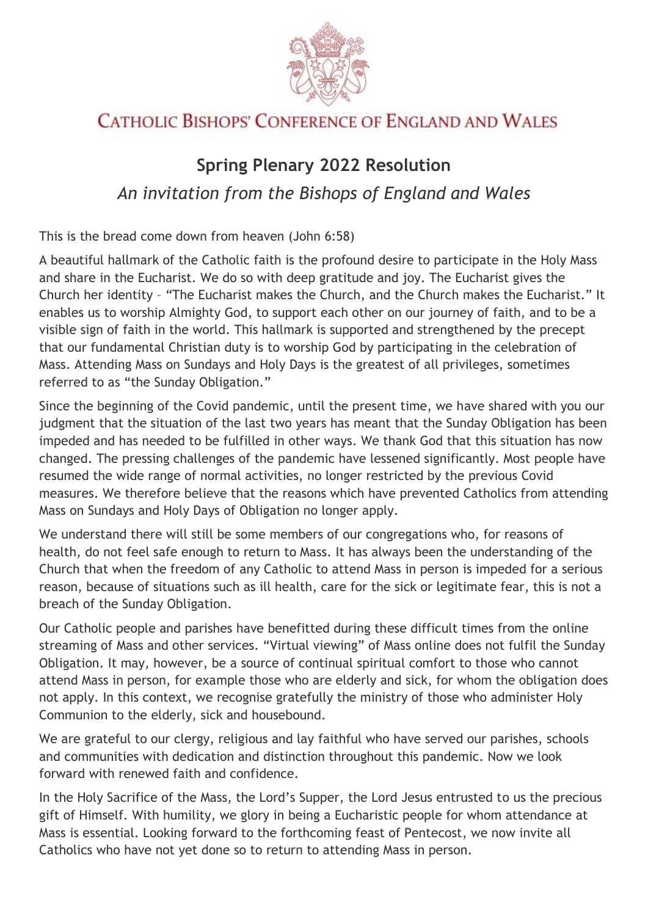

## **CATHOLIC BISHOPS' CONFERENCE OF ENGLAND AND WALES**

## **Spring Plenary 2022 Resolution** *An invitation from the Bishops of England and Wales*

This is the bread come down from heaven (John 6:58)

A beautiful hallmark of the Catholic faith is the profound desire to participate in the Holy Mass and share in the Eucharist. We do so with deep gratitude and joy. The Eucharist gives the Church her identity – "The Eucharist makes the Church, and the Church makes the Eucharist." It enables us to worship Almighty God, to support each other on our journey of faith, and to be a visible sign of faith in the world. This hallmark is supported and strengthened by the precept that our fundamental Christian duty is to worship God by participating in the celebration of Mass. Attending Mass on Sundays and Holy Days is the greatest of all privileges, sometimes referred to as "the Sunday Obligation."

Since the beginning of the Covid pandemic, until the present time, we have shared with you our judgment that the situation of the last two years has meant that the Sunday Obligation has been impeded and has needed to be fulfilled in other ways. We thank God that this situation has now changed. The pressing challenges of the pandemic have lessened significantly. Most people have resumed the wide range of normal activities, no longer restricted by the previous Covid measures. We therefore believe that the reasons which have prevented Catholics from attending Mass on Sundays and Holy Days of Obligation no longer apply.

We understand there will still be some members of our congregations who, for reasons of health, do not feel safe enough to return to Mass. It has always been the understanding of the Church that when the freedom of any Catholic to attend Mass in person is impeded for a serious reason, because of situations such as ill health, care for the sick or legitimate fear, this is not a breach of the Sunday Obligation.

Our Catholic people and parishes have benefitted during these difficult times from the online streaming of Mass and other services. "Virtual viewing" of Mass online does not fulfil the Sunday Obligation. It may, however, be a source of continual spiritual comfort to those who cannot attend Mass in person, for example those who are elderly and sick, for whom the obligation does not apply. In this context, we recognise gratefully the ministry of those who administer Holy Communion to the elderly, sick and housebound.

We are grateful to our clergy, religious and lay faithful who have served our parishes, schools and communities with dedication and distinction throughout this pandemic. Now we look forward with renewed faith and confidence.

In the Holy Sacrifice of the Mass, the Lord's Supper, the Lord Jesus entrusted to us the precious gift of Himself. With humility, we glory in being a Eucharistic people for whom attendance at Mass is essential. Looking forward to the forthcoming feast of Pentecost, we now invite all Catholics who have not yet done so to return to attending Mass in person.